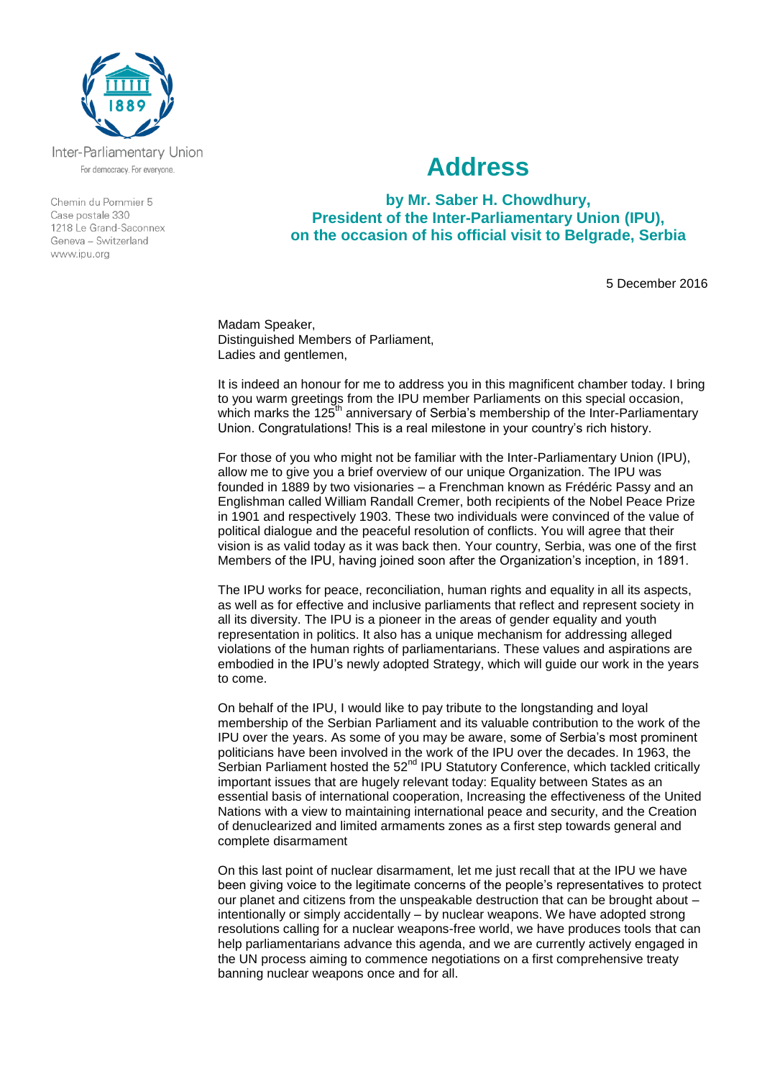

Inter-Parliamentary Union For democracy. For everyone.

Chemin du Pommier 5 Case postale 330 1218 Le Grand-Saconnex Geneva - Switzerland www.ipu.org

## **Address**

**by Mr. Saber H. Chowdhury, President of the Inter-Parliamentary Union (IPU), on the occasion of his official visit to Belgrade, Serbia**

5 December 2016

Madam Speaker, Distinguished Members of Parliament, Ladies and gentlemen,

It is indeed an honour for me to address you in this magnificent chamber today. I bring to you warm greetings from the IPU member Parliaments on this special occasion, which marks the 125<sup>th</sup> anniversary of Serbia's membership of the Inter-Parliamentary Union. Congratulations! This is a real milestone in your country's rich history.

For those of you who might not be familiar with the Inter-Parliamentary Union (IPU), allow me to give you a brief overview of our unique Organization. The IPU was founded in 1889 by two visionaries – a Frenchman known as Frédéric Passy and an Englishman called William Randall Cremer, both recipients of the Nobel Peace Prize in 1901 and respectively 1903. These two individuals were convinced of the value of political dialogue and the peaceful resolution of conflicts. You will agree that their vision is as valid today as it was back then. Your country, Serbia, was one of the first Members of the IPU, having joined soon after the Organization's inception, in 1891.

The IPU works for peace, reconciliation, human rights and equality in all its aspects, as well as for effective and inclusive parliaments that reflect and represent society in all its diversity. The IPU is a pioneer in the areas of gender equality and youth representation in politics. It also has a unique mechanism for addressing alleged violations of the human rights of parliamentarians. These values and aspirations are embodied in the IPU's newly adopted Strategy, which will guide our work in the years to come.

On behalf of the IPU, I would like to pay tribute to the longstanding and loyal membership of the Serbian Parliament and its valuable contribution to the work of the IPU over the years. As some of you may be aware, some of Serbia's most prominent politicians have been involved in the work of the IPU over the decades. In 1963, the Serbian Parliament hosted the  $52<sup>nd</sup>$  IPU Statutory Conference, which tackled critically important issues that are hugely relevant today: Equality between States as an essential basis of international cooperation, Increasing the effectiveness of the United Nations with a view to maintaining international peace and security, and the Creation of denuclearized and limited armaments zones as a first step towards general and complete disarmament

On this last point of nuclear disarmament, let me just recall that at the IPU we have been giving voice to the legitimate concerns of the people's representatives to protect our planet and citizens from the unspeakable destruction that can be brought about – intentionally or simply accidentally – by nuclear weapons. We have adopted strong resolutions calling for a nuclear weapons-free world, we have produces tools that can help parliamentarians advance this agenda, and we are currently actively engaged in the UN process aiming to commence negotiations on a first comprehensive treaty banning nuclear weapons once and for all.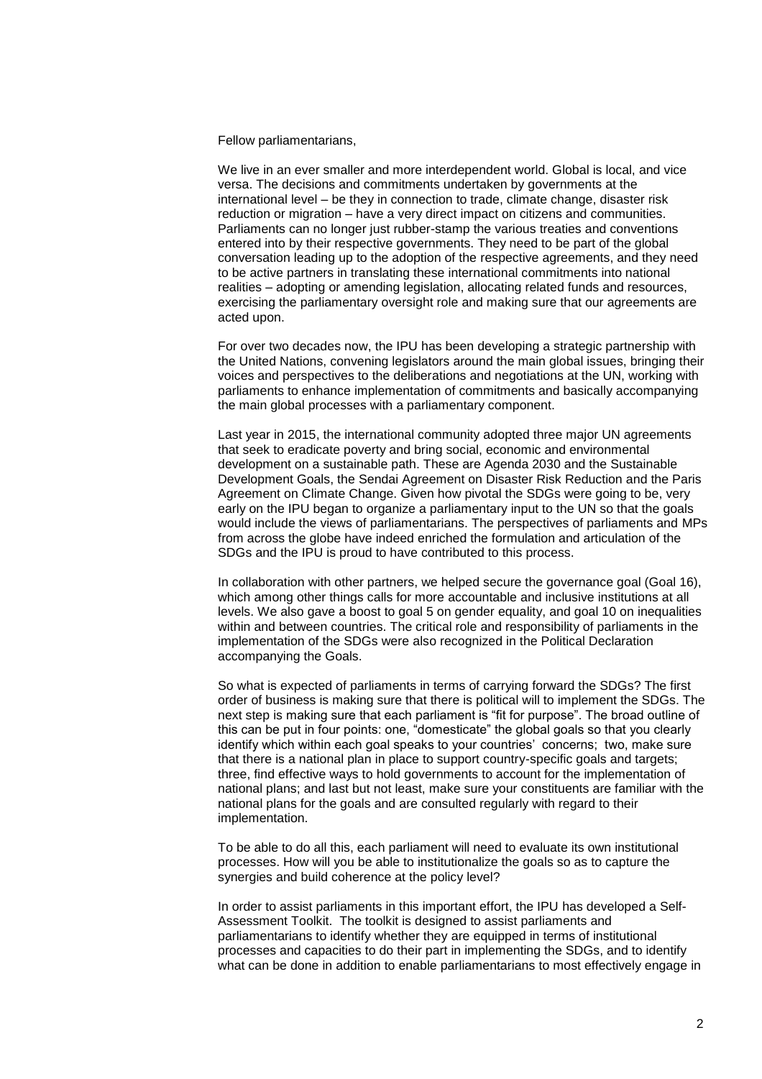Fellow parliamentarians,

We live in an ever smaller and more interdependent world. Global is local, and vice versa. The decisions and commitments undertaken by governments at the international level – be they in connection to trade, climate change, disaster risk reduction or migration – have a very direct impact on citizens and communities. Parliaments can no longer just rubber-stamp the various treaties and conventions entered into by their respective governments. They need to be part of the global conversation leading up to the adoption of the respective agreements, and they need to be active partners in translating these international commitments into national realities – adopting or amending legislation, allocating related funds and resources, exercising the parliamentary oversight role and making sure that our agreements are acted upon.

For over two decades now, the IPU has been developing a strategic partnership with the United Nations, convening legislators around the main global issues, bringing their voices and perspectives to the deliberations and negotiations at the UN, working with parliaments to enhance implementation of commitments and basically accompanying the main global processes with a parliamentary component.

Last year in 2015, the international community adopted three major UN agreements that seek to eradicate poverty and bring social, economic and environmental development on a sustainable path. These are Agenda 2030 and the Sustainable Development Goals, the Sendai Agreement on Disaster Risk Reduction and the Paris Agreement on Climate Change. Given how pivotal the SDGs were going to be, very early on the IPU began to organize a parliamentary input to the UN so that the goals would include the views of parliamentarians. The perspectives of parliaments and MPs from across the globe have indeed enriched the formulation and articulation of the SDGs and the IPU is proud to have contributed to this process.

In collaboration with other partners, we helped secure the governance goal (Goal 16), which among other things calls for more accountable and inclusive institutions at all levels. We also gave a boost to goal 5 on gender equality, and goal 10 on inequalities within and between countries. The critical role and responsibility of parliaments in the implementation of the SDGs were also recognized in the Political Declaration accompanying the Goals.

So what is expected of parliaments in terms of carrying forward the SDGs? The first order of business is making sure that there is political will to implement the SDGs. The next step is making sure that each parliament is "fit for purpose". The broad outline of this can be put in four points: one, "domesticate" the global goals so that you clearly identify which within each goal speaks to your countries' concerns; two, make sure that there is a national plan in place to support country-specific goals and targets; three, find effective ways to hold governments to account for the implementation of national plans; and last but not least, make sure your constituents are familiar with the national plans for the goals and are consulted regularly with regard to their implementation.

To be able to do all this, each parliament will need to evaluate its own institutional processes. How will you be able to institutionalize the goals so as to capture the synergies and build coherence at the policy level?

In order to assist parliaments in this important effort, the IPU has developed a Self-Assessment Toolkit. The toolkit is designed to assist parliaments and parliamentarians to identify whether they are equipped in terms of institutional processes and capacities to do their part in implementing the SDGs, and to identify what can be done in addition to enable parliamentarians to most effectively engage in